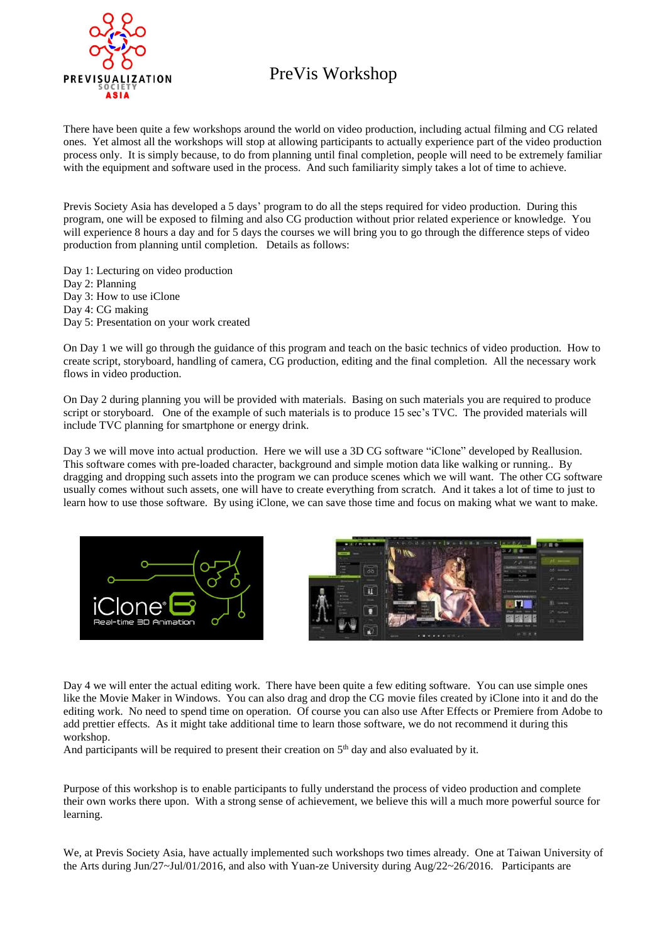

## PreVis Workshop

There have been quite a few workshops around the world on video production, including actual filming and CG related ones. Yet almost all the workshops will stop at allowing participants to actually experience part of the video production process only. It is simply because, to do from planning until final completion, people will need to be extremely familiar with the equipment and software used in the process. And such familiarity simply takes a lot of time to achieve.

Previs Society Asia has developed a 5 days' program to do all the steps required for video production. During this program, one will be exposed to filming and also CG production without prior related experience or knowledge. You will experience 8 hours a day and for 5 days the courses we will bring you to go through the difference steps of video production from planning until completion. Details as follows:

Day 1: Lecturing on video production Day 2: Planning Day 3: How to use iClone Day 4: CG making Day 5: Presentation on your work created

On Day 1 we will go through the guidance of this program and teach on the basic technics of video production. How to create script, storyboard, handling of camera, CG production, editing and the final completion. All the necessary work flows in video production.

On Day 2 during planning you will be provided with materials. Basing on such materials you are required to produce script or storyboard. One of the example of such materials is to produce 15 sec's TVC. The provided materials will include TVC planning for smartphone or energy drink.

Day 3 we will move into actual production. Here we will use a 3D CG software "iClone" developed by Reallusion. This software comes with pre-loaded character, background and simple motion data like walking or running.. By dragging and dropping such assets into the program we can produce scenes which we will want. The other CG software usually comes without such assets, one will have to create everything from scratch. And it takes a lot of time to just to learn how to use those software. By using iClone, we can save those time and focus on making what we want to make.





Day 4 we will enter the actual editing work. There have been quite a few editing software. You can use simple ones like the Movie Maker in Windows. You can also drag and drop the CG movie files created by iClone into it and do the editing work. No need to spend time on operation. Of course you can also use After Effects or Premiere from Adobe to add prettier effects. As it might take additional time to learn those software, we do not recommend it during this workshop.

And participants will be required to present their creation on  $5<sup>th</sup>$  day and also evaluated by it.

Purpose of this workshop is to enable participants to fully understand the process of video production and complete their own works there upon. With a strong sense of achievement, we believe this will a much more powerful source for learning.

We, at Previs Society Asia, have actually implemented such workshops two times already. One at Taiwan University of the Arts during Jun/27~Jul/01/2016, and also with Yuan-ze University during Aug/22~26/2016. Participants are